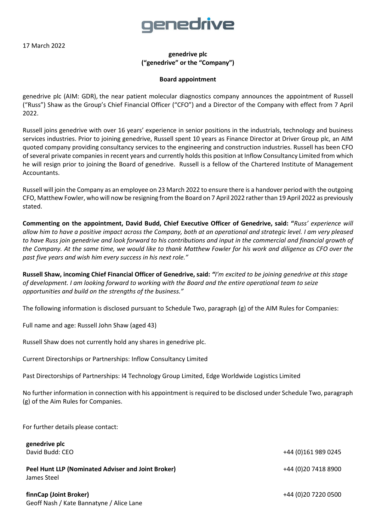17 March 2022

## <u>genedrive</u>

**genedrive plc ("genedrive" or the "Company")**

## **Board appointment**

genedrive plc (AIM: GDR), the near patient molecular diagnostics company announces the appointment of Russell ("Russ") Shaw as the Group's Chief Financial Officer ("CFO") and a Director of the Company with effect from 7 April 2022.

Russell joins genedrive with over 16 years' experience in senior positions in the industrials, technology and business services industries. Prior to joining genedrive, Russell spent 10 years as Finance Director at Driver Group plc, an AIM quoted company providing consultancy services to the engineering and construction industries. Russell has been CFO ofseveral private companies in recent years and currently holds this position at Inflow Consultancy Limited from which he will resign prior to joining the Board of genedrive. Russell is a fellow of the Chartered Institute of Management Accountants.

Russell will join the Company as an employee on 23 March 2022 to ensure there is a handover period with the outgoing CFO, Matthew Fowler, who will now be resigning from the Board on 7 April 2022 rather than 19 April 2022 as previously stated.

**Commenting on the appointment, David Budd, Chief Executive Officer of Genedrive, said: "***Russ' experience will allow him to have a positive impact across the Company, both at an operational and strategic level. I am very pleased to have Russ join genedrive and look forward to his contributions and input in the commercial and financial growth of the Company. At the same time, we would like to thank Matthew Fowler for his work and diligence as CFO over the past five years and wish him every success in his next role."*

**Russell Shaw, incoming Chief Financial Officer of Genedrive, said:** *"I'm excited to be joining genedrive at this stage of development. I am looking forward to working with the Board and the entire operational team to seize opportunities and build on the strengths of the business."*

The following information is disclosed pursuant to Schedule Two, paragraph (g) of the AIM Rules for Companies:

Full name and age: Russell John Shaw (aged 43)

Russell Shaw does not currently hold any shares in genedrive plc.

Current Directorships or Partnerships: Inflow Consultancy Limited

Past Directorships of Partnerships: I4 Technology Group Limited, Edge Worldwide Logistics Limited

No further information in connection with his appointment is required to be disclosed under Schedule Two, paragraph (g) of the Aim Rules for Companies.

For further details please contact:

**genedrive plc**

David Budd: CEO +44 (0)161 989 0245 **Peel Hunt LLP (Nominated Adviser and Joint Broker) 120 Company 120 Company 1444 (0) 20 7418 8900** James Steel

**finnCap (Joint Broker)** +44 (0)20 7220 0500 Geoff Nash / Kate Bannatyne / Alice Lane